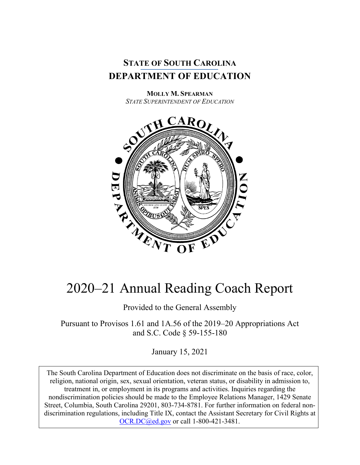

**MOLLY M. SPEARMAN** *STATE SUPERINTENDENT OF EDUCATION*



# 2020–21 Annual Reading Coach Report

Provided to the General Assembly

Pursuant to Provisos 1.61 and 1A.56 of the 2019–20 Appropriations Act and S.C. Code § 59-155-180

January 15, 2021

The South Carolina Department of Education does not discriminate on the basis of race, color, religion, national origin, sex, sexual orientation, veteran status, or disability in admission to, treatment in, or employment in its programs and activities. Inquiries regarding the nondiscrimination policies should be made to the Employee Relations Manager, 1429 Senate Street, Columbia, South Carolina 29201, 803-734-8781. For further information on federal nondiscrimination regulations, including Title IX, contact the Assistant Secretary for Civil Rights at [OCR.DC@ed.gov](mailto:OCR.DC@ed.gov) or call 1-800-421-3481.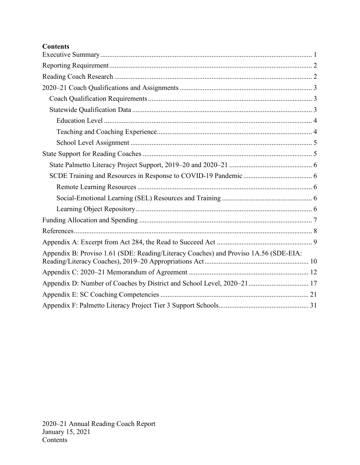# **Contents**

| Appendix B: Proviso 1.61 (SDE: Reading/Literacy Coaches) and Proviso 1A.56 (SDE-EIA: |
|--------------------------------------------------------------------------------------|
|                                                                                      |
| Appendix D: Number of Coaches by District and School Level, 2020–21  17              |
|                                                                                      |
|                                                                                      |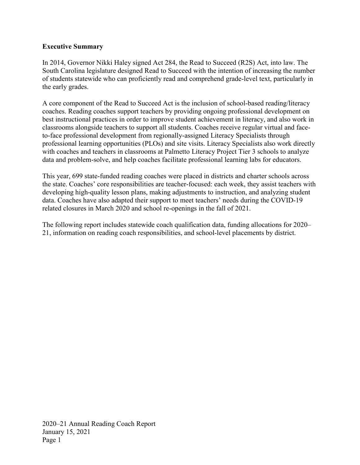### <span id="page-2-0"></span>**Executive Summary**

In 2014, Governor Nikki Haley signed Act 284, the Read to Succeed (R2S) Act, into law. The South Carolina legislature designed Read to Succeed with the intention of increasing the number of students statewide who can proficiently read and comprehend grade-level text, particularly in the early grades.

A core component of the Read to Succeed Act is the inclusion of school-based reading/literacy coaches. Reading coaches support teachers by providing ongoing professional development on best instructional practices in order to improve student achievement in literacy, and also work in classrooms alongside teachers to support all students. Coaches receive regular virtual and faceto-face professional development from regionally-assigned Literacy Specialists through professional learning opportunities (PLOs) and site visits. Literacy Specialists also work directly with coaches and teachers in classrooms at Palmetto Literacy Project Tier 3 schools to analyze data and problem-solve, and help coaches facilitate professional learning labs for educators.

This year, 699 state-funded reading coaches were placed in districts and charter schools across the state. Coaches' core responsibilities are teacher-focused: each week, they assist teachers with developing high-quality lesson plans, making adjustments to instruction, and analyzing student data. Coaches have also adapted their support to meet teachers' needs during the COVID-19 related closures in March 2020 and school re-openings in the fall of 2021.

The following report includes statewide coach qualification data, funding allocations for 2020– 21, information on reading coach responsibilities, and school-level placements by district.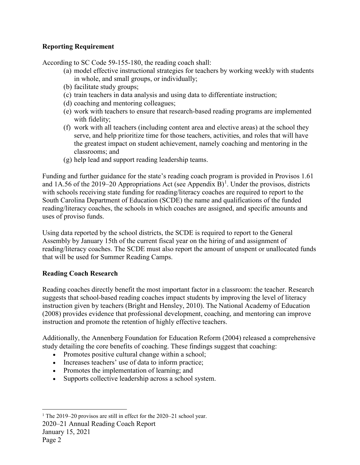## <span id="page-3-0"></span>**Reporting Requirement**

According to SC Code 59-155-180, the reading coach shall:

- (a) model effective instructional strategies for teachers by working weekly with students in whole, and small groups, or individually;
- (b) facilitate study groups;
- (c) train teachers in data analysis and using data to differentiate instruction;
- (d) coaching and mentoring colleagues;
- (e) work with teachers to ensure that research-based reading programs are implemented with fidelity;
- (f) work with all teachers (including content area and elective areas) at the school they serve, and help prioritize time for those teachers, activities, and roles that will have the greatest impact on student achievement, namely coaching and mentoring in the classrooms; and
- (g) help lead and support reading leadership teams.

Funding and further guidance for the state's reading coach program is provided in Provisos 1.61 and [1](#page-3-2)A.56 of the 2019–20 Appropriations Act (see Appendix  $B$ )<sup>1</sup>. Under the provisos, districts with schools receiving state funding for reading/literacy coaches are required to report to the South Carolina Department of Education (SCDE) the name and qualifications of the funded reading/literacy coaches, the schools in which coaches are assigned, and specific amounts and uses of proviso funds.

Using data reported by the school districts, the SCDE is required to report to the General Assembly by January 15th of the current fiscal year on the hiring of and assignment of reading/literacy coaches. The SCDE must also report the amount of unspent or unallocated funds that will be used for Summer Reading Camps.

# <span id="page-3-1"></span>**Reading Coach Research**

Reading coaches directly benefit the most important factor in a classroom: the teacher. Research suggests that school-based reading coaches impact students by improving the level of literacy instruction given by teachers (Bright and Hensley, 2010). The National Academy of Education (2008) provides evidence that professional development, coaching, and mentoring can improve instruction and promote the retention of highly effective teachers.

Additionally, the Annenberg Foundation for Education Reform (2004) released a comprehensive study detailing the core benefits of coaching. These findings suggest that coaching:

- Promotes positive cultural change within a school;
- Increases teachers' use of data to inform practice;
- Promotes the implementation of learning; and
- Supports collective leadership across a school system.

2020–21 Annual Reading Coach Report

January 15, 2021

<span id="page-3-2"></span><sup>&</sup>lt;sup>1</sup> The 2019–20 provisos are still in effect for the 2020–21 school year.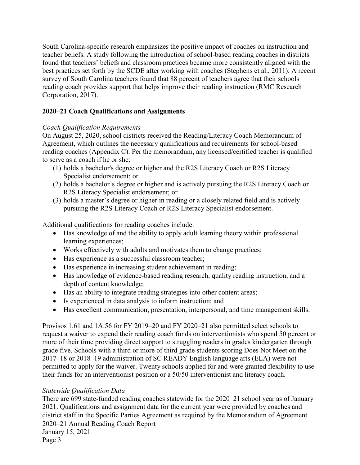South Carolina-specific research emphasizes the positive impact of coaches on instruction and teacher beliefs. A study following the introduction of school-based reading coaches in districts found that teachers' beliefs and classroom practices became more consistently aligned with the best practices set forth by the SCDE after working with coaches (Stephens et al., 2011). A recent survey of South Carolina teachers found that 88 percent of teachers agree that their schools reading coach provides support that helps improve their reading instruction (RMC Research Corporation, 2017).

# <span id="page-4-0"></span>**2020–21 Coach Qualifications and Assignments**

#### <span id="page-4-1"></span>*Coach Qualification Requirements*

On August 25, 2020, school districts received the Reading/Literacy Coach Memorandum of Agreement, which outlines the necessary qualifications and requirements for school-based reading coaches (Appendix C). Per the memorandum, any licensed/certified teacher is qualified to serve as a coach if he or she:

- (1) holds a bachelor's degree or higher and the R2S Literacy Coach or R2S Literacy Specialist endorsement; or
- (2) holds a bachelor's degree or higher and is actively pursuing the R2S Literacy Coach or R2S Literacy Specialist endorsement; or
- (3) holds a master's degree or higher in reading or a closely related field and is actively pursuing the R2S Literacy Coach or R2S Literacy Specialist endorsement.

Additional qualifications for reading coaches include:

- Has knowledge of and the ability to apply adult learning theory within professional learning experiences;
- Works effectively with adults and motivates them to change practices;
- Has experience as a successful classroom teacher;
- Has experience in increasing student achievement in reading;
- Has knowledge of evidence-based reading research, quality reading instruction, and a depth of content knowledge;
- Has an ability to integrate reading strategies into other content areas;
- Is experienced in data analysis to inform instruction; and
- Has excellent communication, presentation, interpersonal, and time management skills.

Provisos 1.61 and 1A.56 for FY 2019–20 and FY 2020–21 also permitted select schools to request a waiver to expend their reading coach funds on interventionists who spend 50 percent or more of their time providing direct support to struggling readers in grades kindergarten through grade five. Schools with a third or more of third grade students scoring Does Not Meet on the 2017–18 or 2018–19 administration of SC READY English language arts (ELA) were not permitted to apply for the waiver. Twenty schools applied for and were granted flexibility to use their funds for an interventionist position or a 50/50 interventionist and literacy coach.

#### <span id="page-4-2"></span>*Statewide Qualification Data*

2020–21 Annual Reading Coach Report January 15, 2021 There are 699 state-funded reading coaches statewide for the 2020–21 school year as of January 2021. Qualifications and assignment data for the current year were provided by coaches and district staff in the Specific Parties Agreement as required by the Memorandum of Agreement

Page 3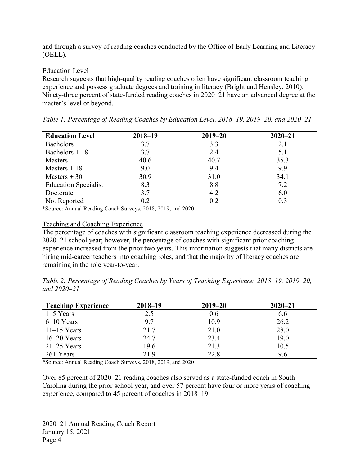and through a survey of reading coaches conducted by the Office of Early Learning and Literacy (OELL).

#### <span id="page-5-0"></span>Education Level

Research suggests that high-quality reading coaches often have significant classroom teaching experience and possess graduate degrees and training in literacy (Bright and Hensley, 2010). Ninety-three percent of state-funded reading coaches in 2020–21 have an advanced degree at the master's level or beyond.

| <b>Education Level</b>      | $2018 - 19$ | $2019 - 20$ | $2020 - 21$ |
|-----------------------------|-------------|-------------|-------------|
| <b>Bachelors</b>            | 3.7         | 3.3         | 2.1         |
| Bachelors $+18$             | 3.7         | 2.4         | 5.1         |
| <b>Masters</b>              | 40.6        | 40.7        | 35.3        |
| Masters $+18$               | 9.0         | 9.4         | 9.9         |
| Masters $+30$               | 30.9        | 31.0        | 34.1        |
| <b>Education Specialist</b> | 8.3         | 8.8         | 7.2         |
| Doctorate                   | 3.7         | 4.2         | 6.0         |
| Not Reported                | 0.2         | 0.2         | 0.3         |

*Table 1: Percentage of Reading Coaches by Education Level, 2018–19, 2019–20, and 2020–21*

\*Source: Annual Reading Coach Surveys, 2018, 2019, and 2020

#### <span id="page-5-1"></span>Teaching and Coaching Experience

The percentage of coaches with significant classroom teaching experience decreased during the 2020–21 school year; however, the percentage of coaches with significant prior coaching experience increased from the prior two years. This information suggests that many districts are hiring mid-career teachers into coaching roles, and that the majority of literacy coaches are remaining in the role year-to-year.

*Table 2: Percentage of Reading Coaches by Years of Teaching Experience, 2018–19, 2019–20, and 2020–21*

| <b>Teaching Experience</b> | $2018 - 19$ | $2019 - 20$ | $2020 - 21$ |
|----------------------------|-------------|-------------|-------------|
| $1-5$ Years                | 2.5         | 0.6         | 6.6         |
| $6-10$ Years               | 9.7         | 10.9        | 26.2        |
| $11-15$ Years              | 21.7        | 21.0        | 28.0        |
| $16-20$ Years              | 24.7        | 23.4        | 19.0        |
| $21-25$ Years              | 19.6        | 21.3        | 10.5        |
| $26+Years$                 | 21.9        | 22.8        | 9.6         |

\*Source: Annual Reading Coach Surveys, 2018, 2019, and 2020

Over 85 percent of 2020–21 reading coaches also served as a state-funded coach in South Carolina during the prior school year, and over 57 percent have four or more years of coaching experience, compared to 45 percent of coaches in 2018–19.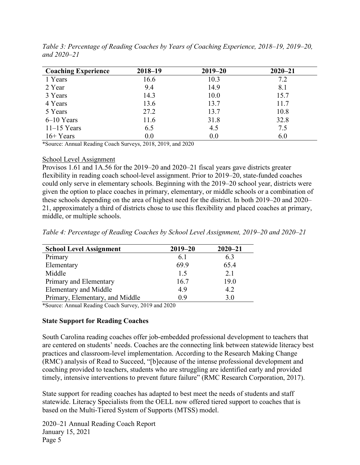| <b>Coaching Experience</b> | $2018 - 19$ | $2019 - 20$ | $2020 - 21$ |
|----------------------------|-------------|-------------|-------------|
| 1 Years                    | 16.6        | 10.3        | 7.2         |
| 2 Year                     | 9.4         | 14.9        | 8.1         |
| 3 Years                    | 14.3        | 10.0        | 15.7        |
| 4 Years                    | 13.6        | 13.7        | 11.7        |
| 5 Years                    | 27.2        | 13.7        | 10.8        |
| $6-10$ Years               | 11.6        | 31.8        | 32.8        |
| $11-15$ Years              | 6.5         | 4.5         | 7.5         |
| $16+Years$                 | 0.0         | 0.0         | 6.0         |

*Table 3: Percentage of Reading Coaches by Years of Coaching Experience, 2018–19, 2019–20, and 2020–21*

\*Source: Annual Reading Coach Surveys, 2018, 2019, and 2020

#### <span id="page-6-0"></span>School Level Assignment

Provisos 1.61 and 1A.56 for the 2019–20 and 2020–21 fiscal years gave districts greater flexibility in reading coach school-level assignment. Prior to 2019–20, state-funded coaches could only serve in elementary schools. Beginning with the 2019–20 school year, districts were given the option to place coaches in primary, elementary, or middle schools or a combination of these schools depending on the area of highest need for the district. In both 2019–20 and 2020– 21, approximately a third of districts chose to use this flexibility and placed coaches at primary, middle, or multiple schools.

*Table 4: Percentage of Reading Coaches by School Level Assignment, 2019–20 and 2020–21*

| <b>School Level Assignment</b>  | $2019 - 20$ | $2020 - 21$ |
|---------------------------------|-------------|-------------|
| Primary                         | 6.1         | 6.3         |
| Elementary                      | 69.9        | 65.4        |
| Middle                          | 1.5         | 2.1         |
| Primary and Elementary          | 16.7        | 19.0        |
| <b>Elementary and Middle</b>    | 4.9         | 4.2         |
| Primary, Elementary, and Middle | 0.9         | 3.0         |

\*Source: Annual Reading Coach Survey, 2019 and 2020

#### <span id="page-6-1"></span>**State Support for Reading Coaches**

South Carolina reading coaches offer job-embedded professional development to teachers that are centered on students' needs. Coaches are the connecting link between statewide literacy best practices and classroom-level implementation. According to the Research Making Change (RMC) analysis of Read to Succeed, "[b]ecause of the intense professional development and coaching provided to teachers, students who are struggling are identified early and provided timely, intensive interventions to prevent future failure" (RMC Research Corporation, 2017).

State support for reading coaches has adapted to best meet the needs of students and staff statewide. Literacy Specialists from the OELL now offered tiered support to coaches that is based on the Multi-Tiered System of Supports (MTSS) model.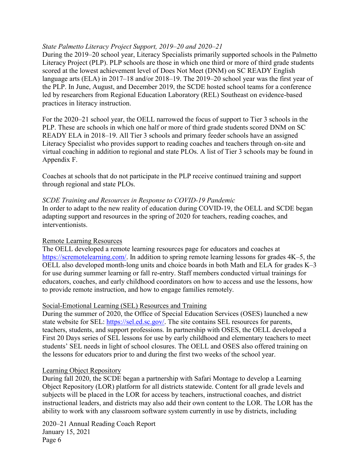#### <span id="page-7-0"></span>*State Palmetto Literacy Project Support, 2019–20 and 2020–21*

During the 2019–20 school year, Literacy Specialists primarily supported schools in the Palmetto Literacy Project (PLP). PLP schools are those in which one third or more of third grade students scored at the lowest achievement level of Does Not Meet (DNM) on SC READY English language arts (ELA) in 2017–18 and/or 2018–19. The 2019–20 school year was the first year of the PLP. In June, August, and December 2019, the SCDE hosted school teams for a conference led by researchers from Regional Education Laboratory (REL) Southeast on evidence-based practices in literacy instruction.

For the 2020–21 school year, the OELL narrowed the focus of support to Tier 3 schools in the PLP. These are schools in which one half or more of third grade students scored DNM on SC READY ELA in 2018–19. All Tier 3 schools and primary feeder schools have an assigned Literacy Specialist who provides support to reading coaches and teachers through on-site and virtual coaching in addition to regional and state PLOs. A list of Tier 3 schools may be found in Appendix F.

Coaches at schools that do not participate in the PLP receive continued training and support through regional and state PLOs.

#### <span id="page-7-1"></span>*SCDE Training and Resources in Response to COVID-19 Pandemic*

In order to adapt to the new reality of education during COVID-19, the OELL and SCDE began adapting support and resources in the spring of 2020 for teachers, reading coaches, and interventionists.

#### <span id="page-7-2"></span>Remote Learning Resources

The OELL developed a remote learning resources page for educators and coaches at [https://scremotelearning.com/.](https://scremotelearning.com/) In addition to spring remote learning lessons for grades 4K–5, the OELL also developed month-long units and choice boards in both Math and ELA for grades K–3 for use during summer learning or fall re-entry. Staff members conducted virtual trainings for educators, coaches, and early childhood coordinators on how to access and use the lessons, how to provide remote instruction, and how to engage families remotely.

#### <span id="page-7-3"></span>Social-Emotional Learning (SEL) Resources and Training

During the summer of 2020, the Office of Special Education Services (OSES) launched a new state website for SEL: [https://sel.ed.sc.gov/.](https://sel.ed.sc.gov/) The site contains SEL resources for parents, teachers, students, and support professions. In partnership with OSES, the OELL developed a First 20 Days series of SEL lessons for use by early childhood and elementary teachers to meet students' SEL needs in light of school closures. The OELL and OSES also offered training on the lessons for educators prior to and during the first two weeks of the school year.

#### <span id="page-7-4"></span>Learning Object Repository

During fall 2020, the SCDE began a partnership with Safari Montage to develop a Learning Object Repository (LOR) platform for all districts statewide. Content for all grade levels and subjects will be placed in the LOR for access by teachers, instructional coaches, and district instructional leaders, and districts may also add their own content to the LOR. The LOR has the ability to work with any classroom software system currently in use by districts, including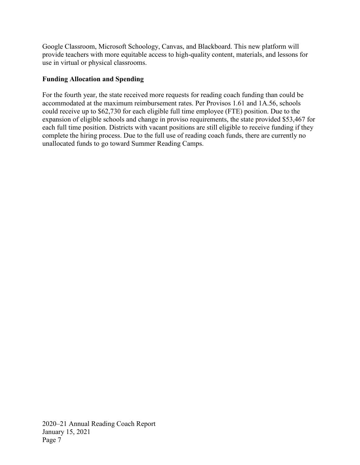Google Classroom, Microsoft Schoology, Canvas, and Blackboard. This new platform will provide teachers with more equitable access to high-quality content, materials, and lessons for use in virtual or physical classrooms.

## <span id="page-8-0"></span>**Funding Allocation and Spending**

For the fourth year, the state received more requests for reading coach funding than could be accommodated at the maximum reimbursement rates. Per Provisos 1.61 and 1A.56, schools could receive up to \$62,730 for each eligible full time employee (FTE) position. Due to the expansion of eligible schools and change in proviso requirements, the state provided \$53,467 for each full time position. Districts with vacant positions are still eligible to receive funding if they complete the hiring process. Due to the full use of reading coach funds, there are currently no unallocated funds to go toward Summer Reading Camps.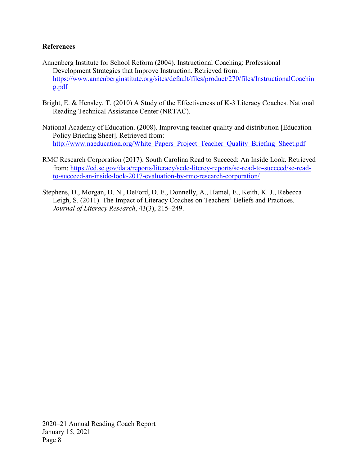#### <span id="page-9-0"></span>**References**

- Annenberg Institute for School Reform (2004). Instructional Coaching: Professional Development Strategies that Improve Instruction. Retrieved from: [https://www.annenberginstitute.org/sites/default/files/product/270/files/InstructionalCoachin](https://www.annenberginstitute.org/sites/default/files/product/270/files/InstructionalCoaching.pdf) [g.pdf](https://www.annenberginstitute.org/sites/default/files/product/270/files/InstructionalCoaching.pdf)
- Bright, E. & Hensley, T. (2010) A Study of the Effectiveness of K-3 Literacy Coaches. National Reading Technical Assistance Center (NRTAC).
- National Academy of Education. (2008). Improving teacher quality and distribution [Education Policy Briefing Sheet]. Retrieved from: [http://www.naeducation.org/White\\_Papers\\_Project\\_Teacher\\_Quality\\_Briefing\\_Sheet.pdf](http://www.naeducation.org/White_Papers_Project_Teacher_Quality_Briefing_Sheet.pdf)
- RMC Research Corporation (2017). South Carolina Read to Succeed: An Inside Look. Retrieved from: [https://ed.sc.gov/data/reports/literacy/scde-litercy-reports/sc-read-to-succeed/sc-read](https://ed.sc.gov/data/reports/literacy/scde-litercy-reports/sc-read-to-succeed/sc-read-to-succeed-an-inside-look-2017-evaluation-by-rmc-research-corporation/)[to-succeed-an-inside-look-2017-evaluation-by-rmc-research-corporation/](https://ed.sc.gov/data/reports/literacy/scde-litercy-reports/sc-read-to-succeed/sc-read-to-succeed-an-inside-look-2017-evaluation-by-rmc-research-corporation/)
- Stephens, D., Morgan, D. N., DeFord, D. E., Donnelly, A., Hamel, E., Keith, K. J., Rebecca Leigh, S. (2011). The Impact of Literacy Coaches on Teachers' Beliefs and Practices. *Journal of Literacy Research*, 43(3), 215–249.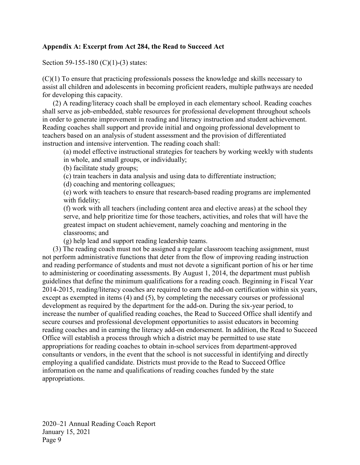#### <span id="page-10-0"></span>**Appendix A: Excerpt from Act 284, the Read to Succeed Act**

Section 59-155-180 (C)(1)-(3) states:

(C)(1) To ensure that practicing professionals possess the knowledge and skills necessary to assist all children and adolescents in becoming proficient readers, multiple pathways are needed for developing this capacity.

(2) A reading/literacy coach shall be employed in each elementary school. Reading coaches shall serve as job-embedded, stable resources for professional development throughout schools in order to generate improvement in reading and literacy instruction and student achievement. Reading coaches shall support and provide initial and ongoing professional development to teachers based on an analysis of student assessment and the provision of differentiated instruction and intensive intervention. The reading coach shall:

(a) model effective instructional strategies for teachers by working weekly with students in whole, and small groups, or individually;

(b) facilitate study groups;

(c) train teachers in data analysis and using data to differentiate instruction;

(d) coaching and mentoring colleagues;

(e) work with teachers to ensure that research-based reading programs are implemented with fidelity;

(f) work with all teachers (including content area and elective areas) at the school they serve, and help prioritize time for those teachers, activities, and roles that will have the greatest impact on student achievement, namely coaching and mentoring in the classrooms; and

(g) help lead and support reading leadership teams.

(3) The reading coach must not be assigned a regular classroom teaching assignment, must not perform administrative functions that deter from the flow of improving reading instruction and reading performance of students and must not devote a significant portion of his or her time to administering or coordinating assessments. By August 1, 2014, the department must publish guidelines that define the minimum qualifications for a reading coach. Beginning in Fiscal Year 2014-2015, reading/literacy coaches are required to earn the add-on certification within six years, except as exempted in items (4) and (5), by completing the necessary courses or professional development as required by the department for the add-on. During the six-year period, to increase the number of qualified reading coaches, the Read to Succeed Office shall identify and secure courses and professional development opportunities to assist educators in becoming reading coaches and in earning the literacy add-on endorsement. In addition, the Read to Succeed Office will establish a process through which a district may be permitted to use state appropriations for reading coaches to obtain in-school services from department-approved consultants or vendors, in the event that the school is not successful in identifying and directly employing a qualified candidate. Districts must provide to the Read to Succeed Office information on the name and qualifications of reading coaches funded by the state appropriations.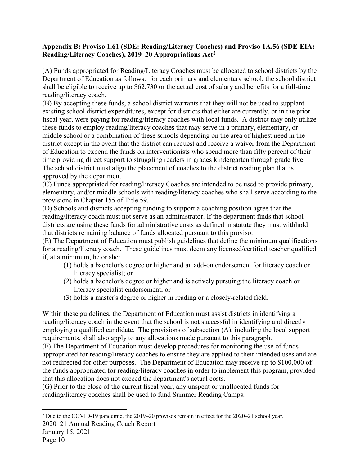#### <span id="page-11-0"></span>**Appendix B: Proviso 1.61 (SDE: Reading/Literacy Coaches) and Proviso 1A.56 (SDE-EIA: Reading/Literacy Coaches), 2019–20 Appropriations Act[2](#page-11-1)**

(A) Funds appropriated for Reading/Literacy Coaches must be allocated to school districts by the Department of Education as follows: for each primary and elementary school, the school district shall be eligible to receive up to \$62,730 or the actual cost of salary and benefits for a full-time reading/literacy coach.

(B) By accepting these funds, a school district warrants that they will not be used to supplant existing school district expenditures, except for districts that either are currently, or in the prior fiscal year, were paying for reading/literacy coaches with local funds. A district may only utilize these funds to employ reading/literacy coaches that may serve in a primary, elementary, or middle school or a combination of these schools depending on the area of highest need in the district except in the event that the district can request and receive a waiver from the Department of Education to expend the funds on interventionists who spend more than fifty percent of their time providing direct support to struggling readers in grades kindergarten through grade five. The school district must align the placement of coaches to the district reading plan that is approved by the department.

(C) Funds appropriated for reading/literacy Coaches are intended to be used to provide primary, elementary, and/or middle schools with reading/literacy coaches who shall serve according to the provisions in Chapter 155 of Title 59.

(D) Schools and districts accepting funding to support a coaching position agree that the reading/literacy coach must not serve as an administrator. If the department finds that school districts are using these funds for administrative costs as defined in statute they must withhold that districts remaining balance of funds allocated pursuant to this proviso.

(E) The Department of Education must publish guidelines that define the minimum qualifications for a reading/literacy coach. These guidelines must deem any licensed/certified teacher qualified if, at a minimum, he or she:

- (1) holds a bachelor's degree or higher and an add-on endorsement for literacy coach or literacy specialist; or
- (2) holds a bachelor's degree or higher and is actively pursuing the literacy coach or literacy specialist endorsement; or
- (3) holds a master's degree or higher in reading or a closely-related field.

Within these guidelines, the Department of Education must assist districts in identifying a reading/literacy coach in the event that the school is not successful in identifying and directly employing a qualified candidate. The provisions of subsection (A), including the local support requirements, shall also apply to any allocations made pursuant to this paragraph.

(F) The Department of Education must develop procedures for monitoring the use of funds appropriated for reading/literacy coaches to ensure they are applied to their intended uses and are not redirected for other purposes. The Department of Education may receive up to \$100,000 of the funds appropriated for reading/literacy coaches in order to implement this program, provided that this allocation does not exceed the department's actual costs.

(G) Prior to the close of the current fiscal year, any unspent or unallocated funds for reading/literacy coaches shall be used to fund Summer Reading Camps.

<span id="page-11-1"></span><sup>2020–21</sup> Annual Reading Coach Report 2 Due to the COVID-19 pandemic, the 2019–20 provisos remain in effect for the 2020–21 school year.

January 15, 2021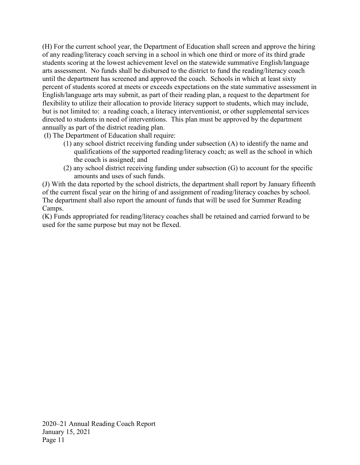(H) For the current school year, the Department of Education shall screen and approve the hiring of any reading/literacy coach serving in a school in which one third or more of its third grade students scoring at the lowest achievement level on the statewide summative English/language arts assessment. No funds shall be disbursed to the district to fund the reading/literacy coach until the department has screened and approved the coach. Schools in which at least sixty percent of students scored at meets or exceeds expectations on the state summative assessment in English/language arts may submit, as part of their reading plan, a request to the department for flexibility to utilize their allocation to provide literacy support to students, which may include, but is not limited to: a reading coach, a literacy interventionist, or other supplemental services directed to students in need of interventions. This plan must be approved by the department annually as part of the district reading plan.

(I) The Department of Education shall require:

- (1) any school district receiving funding under subsection (A) to identify the name and qualifications of the supported reading/literacy coach; as well as the school in which the coach is assigned; and
- (2) any school district receiving funding under subsection (G) to account for the specific amounts and uses of such funds.

(J) With the data reported by the school districts, the department shall report by January fifteenth of the current fiscal year on the hiring of and assignment of reading/literacy coaches by school. The department shall also report the amount of funds that will be used for Summer Reading Camps.

(K) Funds appropriated for reading/literacy coaches shall be retained and carried forward to be used for the same purpose but may not be flexed.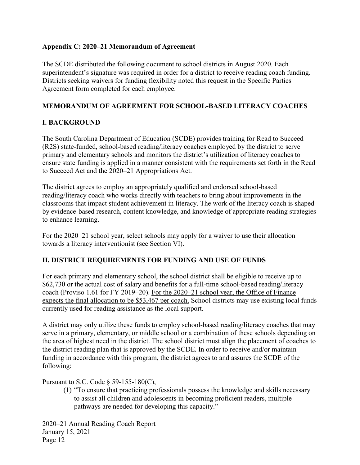#### <span id="page-13-0"></span>**Appendix C: 2020–21 Memorandum of Agreement**

The SCDE distributed the following document to school districts in August 2020. Each superintendent's signature was required in order for a district to receive reading coach funding. Districts seeking waivers for funding flexibility noted this request in the Specific Parties Agreement form completed for each employee.

## **MEMORANDUM OF AGREEMENT FOR SCHOOL-BASED LITERACY COACHES**

## **I. BACKGROUND**

The South Carolina Department of Education (SCDE) provides training for Read to Succeed (R2S) state-funded, school-based reading/literacy coaches employed by the district to serve primary and elementary schools and monitors the district's utilization of literacy coaches to ensure state funding is applied in a manner consistent with the requirements set forth in the Read to Succeed Act and the 2020–21 Appropriations Act.

The district agrees to employ an appropriately qualified and endorsed school-based reading/literacy coach who works directly with teachers to bring about improvements in the classrooms that impact student achievement in literacy. The work of the literacy coach is shaped by evidence-based research, content knowledge, and knowledge of appropriate reading strategies to enhance learning.

For the 2020–21 school year, select schools may apply for a waiver to use their allocation towards a literacy interventionist (see Section VI).

#### **II. DISTRICT REQUIREMENTS FOR FUNDING AND USE OF FUNDS**

For each primary and elementary school, the school district shall be eligible to receive up to \$62,730 or the actual cost of salary and benefits for a full-time school-based reading/literacy coach (Proviso 1.61 for FY 2019–20). For the 2020–21 school year, the Office of Finance expects the final allocation to be \$53,467 per coach. School districts may use existing local funds currently used for reading assistance as the local support.

A district may only utilize these funds to employ school-based reading/literacy coaches that may serve in a primary, elementary, or middle school or a combination of these schools depending on the area of highest need in the district. The school district must align the placement of coaches to the district reading plan that is approved by the SCDE*.* In order to receive and/or maintain funding in accordance with this program, the district agrees to and assures the SCDE of the following:

#### Pursuant to S.C. Code § 59-155-180(C),

(1) "To ensure that practicing professionals possess the knowledge and skills necessary to assist all children and adolescents in becoming proficient readers, multiple pathways are needed for developing this capacity."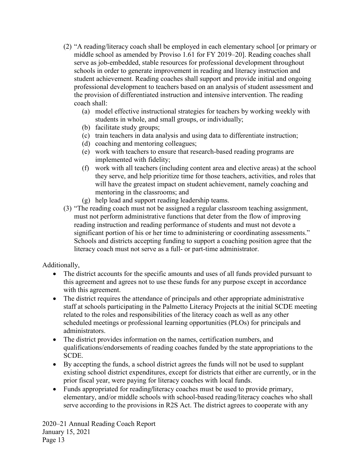- (2) "A reading/literacy coach shall be employed in each elementary school [or primary or middle school as amended by Proviso 1.61 for FY 2019–20]. Reading coaches shall serve as job-embedded, stable resources for professional development throughout schools in order to generate improvement in reading and literacy instruction and student achievement. Reading coaches shall support and provide initial and ongoing professional development to teachers based on an analysis of student assessment and the provision of differentiated instruction and intensive intervention. The reading coach shall:
	- (a) model effective instructional strategies for teachers by working weekly with students in whole, and small groups, or individually;
	- (b) facilitate study groups;
	- (c) train teachers in data analysis and using data to differentiate instruction;
	- (d) coaching and mentoring colleagues;
	- (e) work with teachers to ensure that research-based reading programs are implemented with fidelity;
	- (f) work with all teachers (including content area and elective areas) at the school they serve, and help prioritize time for those teachers, activities, and roles that will have the greatest impact on student achievement, namely coaching and mentoring in the classrooms; and
	- (g) help lead and support reading leadership teams.
- (3) "The reading coach must not be assigned a regular classroom teaching assignment, must not perform administrative functions that deter from the flow of improving reading instruction and reading performance of students and must not devote a significant portion of his or her time to administering or coordinating assessments." Schools and districts accepting funding to support a coaching position agree that the literacy coach must not serve as a full- or part-time administrator.

# Additionally,

- The district accounts for the specific amounts and uses of all funds provided pursuant to this agreement and agrees not to use these funds for any purpose except in accordance with this agreement.
- The district requires the attendance of principals and other appropriate administrative staff at schools participating in the Palmetto Literacy Projects at the initial SCDE meeting related to the roles and responsibilities of the literacy coach as well as any other scheduled meetings or professional learning opportunities (PLOs) for principals and administrators.
- The district provides information on the names, certification numbers, and qualifications/endorsements of reading coaches funded by the state appropriations to the SCDE.
- By accepting the funds, a school district agrees the funds will not be used to supplant existing school district expenditures, except for districts that either are currently, or in the prior fiscal year, were paying for literacy coaches with local funds.
- Funds appropriated for reading**/**literacy coaches must be used to provide primary, elementary, and/or middle schools with school-based reading/literacy coaches who shall serve according to the provisions in R2S Act. The district agrees to cooperate with any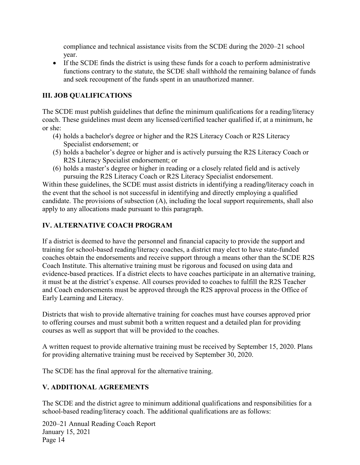compliance and technical assistance visits from the SCDE during the 2020–21 school year.

• If the SCDE finds the district is using these funds for a coach to perform administrative functions contrary to the statute, the SCDE shall withhold the remaining balance of funds and seek recoupment of the funds spent in an unauthorized manner.

# **III. JOB QUALIFICATIONS**

The SCDE must publish guidelines that define the minimum qualifications for a reading/literacy coach. These guidelines must deem any licensed/certified teacher qualified if, at a minimum, he or she:

- (4) holds a bachelor's degree or higher and the R2S Literacy Coach or R2S Literacy Specialist endorsement; or
- (5) holds a bachelor's degree or higher and is actively pursuing the R2S Literacy Coach or R2S Literacy Specialist endorsement; or
- (6) holds a master's degree or higher in reading or a closely related field and is actively pursuing the R2S Literacy Coach or R2S Literacy Specialist endorsement.

Within these guidelines, the SCDE must assist districts in identifying a reading**/**literacy coach in the event that the school is not successful in identifying and directly employing a qualified candidate. The provisions of subsection (A), including the local support requirements, shall also apply to any allocations made pursuant to this paragraph.

## **IV. ALTERNATIVE COACH PROGRAM**

If a district is deemed to have the personnel and financial capacity to provide the support and training for school-based reading/literacy coaches, a district may elect to have state-funded coaches obtain the endorsements and receive support through a means other than the SCDE R2S Coach Institute. This alternative training must be rigorous and focused on using data and evidence-based practices. If a district elects to have coaches participate in an alternative training, it must be at the district's expense. All courses provided to coaches to fulfill the R2S Teacher and Coach endorsements must be approved through the R2S approval process in the Office of Early Learning and Literacy.

Districts that wish to provide alternative training for coaches must have courses approved prior to offering courses and must submit both a written request and a detailed plan for providing courses as well as support that will be provided to the coaches.

A written request to provide alternative training must be received by September 15, 2020. Plans for providing alternative training must be received by September 30, 2020.

The SCDE has the final approval for the alternative training.

# **V. ADDITIONAL AGREEMENTS**

The SCDE and the district agree to minimum additional qualifications and responsibilities for a school-based reading/literacy coach. The additional qualifications are as follows: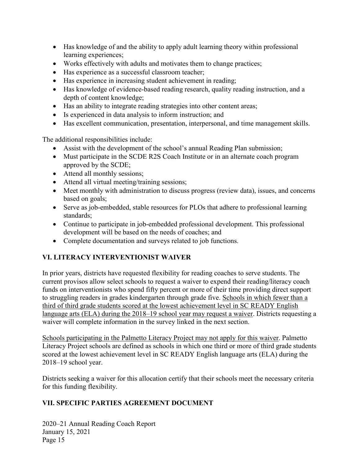- Has knowledge of and the ability to apply adult learning theory within professional learning experiences;
- Works effectively with adults and motivates them to change practices;
- Has experience as a successful classroom teacher;
- Has experience in increasing student achievement in reading;
- Has knowledge of evidence-based reading research, quality reading instruction, and a depth of content knowledge;
- Has an ability to integrate reading strategies into other content areas;
- Is experienced in data analysis to inform instruction; and
- Has excellent communication, presentation, interpersonal, and time management skills.

The additional responsibilities include:

- Assist with the development of the school's annual Reading Plan submission;
- Must participate in the SCDE R2S Coach Institute or in an alternate coach program approved by the SCDE;
- Attend all monthly sessions;
- Attend all virtual meeting/training sessions;
- Meet monthly with administration to discuss progress (review data), issues, and concerns based on goals;
- Serve as job-embedded, stable resources for PLOs that adhere to professional learning standards;
- Continue to participate in job-embedded professional development. This professional development will be based on the needs of coaches; and
- Complete documentation and surveys related to job functions.

# **VI. LITERACY INTERVENTIONIST WAIVER**

In prior years, districts have requested flexibility for reading coaches to serve students. The current provisos allow select schools to request a waiver to expend their reading/literacy coach funds on interventionists who spend fifty percent or more of their time providing direct support to struggling readers in grades kindergarten through grade five. Schools in which fewer than a third of third grade students scored at the lowest achievement level in SC READY English language arts (ELA) during the 2018–19 school year may request a waiver. Districts requesting a waiver will complete information in the survey linked in the next section.

Schools participating in the Palmetto Literacy Project may not apply for this waiver. Palmetto Literacy Project schools are defined as schools in which one third or more of third grade students scored at the lowest achievement level in SC READY English language arts (ELA) during the 2018–19 school year.

Districts seeking a waiver for this allocation certify that their schools meet the necessary criteria for this funding flexibility.

# **VII. SPECIFIC PARTIES AGREEMENT DOCUMENT**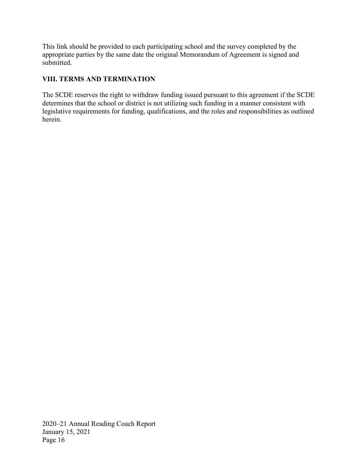This link should be provided to each participating school and the survey completed by the appropriate parties by the same date the original Memorandum of Agreement is signed and submitted.

# **VIII. TERMS AND TERMINATION**

The SCDE reserves the right to withdraw funding issued pursuant to this agreement if the SCDE determines that the school or district is not utilizing such funding in a manner consistent with legislative requirements for funding, qualifications, and the roles and responsibilities as outlined herein.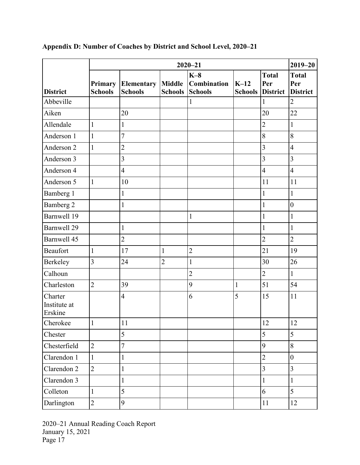|                                    |                           | $2020 - 21$                  |                                 |                                        | $2019 - 20$              |                                        |                                        |
|------------------------------------|---------------------------|------------------------------|---------------------------------|----------------------------------------|--------------------------|----------------------------------------|----------------------------------------|
| <b>District</b>                    | Primary<br><b>Schools</b> | Elementary<br><b>Schools</b> | <b>Middle</b><br><b>Schools</b> | $K-8$<br>Combination<br><b>Schools</b> | $K-12$<br><b>Schools</b> | <b>Total</b><br>Per<br><b>District</b> | <b>Total</b><br>Per<br><b>District</b> |
| Abbeville                          |                           |                              |                                 | $\mathbf{1}$                           |                          | $\mathbf 1$                            | $\overline{2}$                         |
| Aiken                              |                           | 20                           |                                 |                                        |                          | 20                                     | 22                                     |
| Allendale                          | $\mathbf{1}$              | $\mathbf{1}$                 |                                 |                                        |                          | $\overline{2}$                         | $\mathbf{1}$                           |
| Anderson 1                         | $\mathbf{1}$              | 7                            |                                 |                                        |                          | 8                                      | 8                                      |
| Anderson 2                         | $\mathbf{1}$              | $\overline{2}$               |                                 |                                        |                          | $\overline{3}$                         | $\overline{4}$                         |
| Anderson 3                         |                           | $\overline{\mathbf{3}}$      |                                 |                                        |                          | $\overline{3}$                         | $\overline{3}$                         |
| Anderson 4                         |                           | $\overline{\mathbf{4}}$      |                                 |                                        |                          | $\overline{4}$                         | $\overline{4}$                         |
| Anderson 5                         | $\mathbf{1}$              | 10                           |                                 |                                        |                          | 11                                     | 11                                     |
| Bamberg 1                          |                           | $\mathbf{1}$                 |                                 |                                        |                          | $\mathbf{1}$                           | $\mathbf{1}$                           |
| Bamberg 2                          |                           | 1                            |                                 |                                        |                          | $\mathbf{1}$                           | $\boldsymbol{0}$                       |
| Barnwell 19                        |                           |                              |                                 | $\mathbf{1}$                           |                          | $\mathbf{1}$                           | $\mathbf{1}$                           |
| <b>Barnwell 29</b>                 |                           | $\mathbf{1}$                 |                                 |                                        |                          | $\mathbf{1}$                           | $\mathbf{1}$                           |
| Barnwell 45                        |                           | $\overline{2}$               |                                 |                                        |                          | $\overline{2}$                         | $\overline{2}$                         |
| Beaufort                           | $\mathbf{1}$              | 17                           | $\mathbf{1}$                    | $\overline{2}$                         |                          | 21                                     | 19                                     |
| Berkeley                           | $\overline{3}$            | 24                           | $\overline{2}$                  | $\mathbf{1}$                           |                          | 30                                     | 26                                     |
| Calhoun                            |                           |                              |                                 | $\overline{2}$                         |                          | $\overline{2}$                         | $\mathbf{1}$                           |
| Charleston                         | $\overline{2}$            | 39                           |                                 | 9                                      | $\mathbf{1}$             | 51                                     | 54                                     |
| Charter<br>Institute at<br>Erskine |                           | $\overline{4}$               |                                 | 6                                      | 5                        | 15                                     | 11                                     |
| Cherokee                           | $\mathbf{1}$              | 11                           |                                 |                                        |                          | 12                                     | 12                                     |
| Chester                            |                           | 5                            |                                 |                                        |                          | 5                                      | 5                                      |
| Chesterfield                       | $\overline{2}$            | $\overline{7}$               |                                 |                                        |                          | 9                                      | 8                                      |
| Clarendon 1                        | $\mathbf{1}$              | $\mathbf{1}%$                |                                 |                                        |                          | $\overline{2}$                         | $\boldsymbol{0}$                       |
| Clarendon 2                        | $\overline{2}$            | $\mathbf{1}$                 |                                 |                                        |                          | $\overline{3}$                         | $\overline{3}$                         |
| Clarendon 3                        |                           | 1                            |                                 |                                        |                          | $\mathbf{1}$                           | $\mathbf{1}$                           |
| Colleton                           | $\mathbf{1}$              | 5                            |                                 |                                        |                          | 6                                      | 5                                      |
| Darlington                         | $\overline{2}$            | 9                            |                                 |                                        |                          | 11                                     | 12                                     |

# <span id="page-18-0"></span>**Appendix D: Number of Coaches by District and School Level, 2020–21**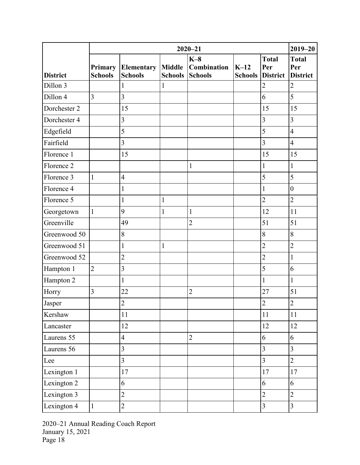|                 | $2020 - 21$               |                              |                                 | $2019 - 20$                                   |                          |                                        |                                        |
|-----------------|---------------------------|------------------------------|---------------------------------|-----------------------------------------------|--------------------------|----------------------------------------|----------------------------------------|
| <b>District</b> | Primary<br><b>Schools</b> | Elementary<br><b>Schools</b> | <b>Middle</b><br><b>Schools</b> | $K-8$<br><b>Combination</b><br><b>Schools</b> | $K-12$<br><b>Schools</b> | <b>Total</b><br>Per<br><b>District</b> | <b>Total</b><br>Per<br><b>District</b> |
| Dillon 3        |                           |                              | 1                               |                                               |                          | $\overline{2}$                         | $\overline{2}$                         |
| Dillon 4        | $\overline{3}$            | $\overline{3}$               |                                 |                                               |                          | 6                                      | 5                                      |
| Dorchester 2    |                           | 15                           |                                 |                                               |                          | 15                                     | 15                                     |
| Dorchester 4    |                           | $\overline{3}$               |                                 |                                               |                          | 3                                      | $\overline{3}$                         |
| Edgefield       |                           | 5                            |                                 |                                               |                          | 5                                      | $\overline{4}$                         |
| Fairfield       |                           | $\overline{3}$               |                                 |                                               |                          | $\overline{3}$                         | $\overline{4}$                         |
| Florence 1      |                           | 15                           |                                 |                                               |                          | 15                                     | 15                                     |
| Florence 2      |                           |                              |                                 | $\mathbf{1}$                                  |                          | $\mathbf{1}$                           | $\mathbf{1}$                           |
| Florence 3      | $\mathbf{1}$              | $\overline{4}$               |                                 |                                               |                          | 5                                      | 5                                      |
| Florence 4      |                           | 1                            |                                 |                                               |                          | $\mathbf{1}$                           | $\boldsymbol{0}$                       |
| Florence 5      |                           | $\mathbf{1}$                 | 1                               |                                               |                          | $\overline{2}$                         | $\overline{2}$                         |
| Georgetown      | $\mathbf{1}$              | 9                            | $\mathbf{1}$                    | $\mathbf{1}$                                  |                          | 12                                     | 11                                     |
| Greenville      |                           | 49                           |                                 | $\overline{2}$                                |                          | 51                                     | 51                                     |
| Greenwood 50    |                           | 8                            |                                 |                                               |                          | 8                                      | 8                                      |
| Greenwood 51    |                           | $\mathbf{1}$                 | $\mathbf 1$                     |                                               |                          | $\overline{2}$                         | $\overline{2}$                         |
| Greenwood 52    |                           | $\overline{2}$               |                                 |                                               |                          | $\overline{2}$                         | $\mathbf{1}$                           |
| Hampton 1       | $\overline{2}$            | 3                            |                                 |                                               |                          | 5                                      | 6                                      |
| Hampton 2       |                           | $\mathbf{1}$                 |                                 |                                               |                          | $\mathbf{1}$                           | $\mathbf{1}$                           |
| Horry           | 3                         | 22                           |                                 | $\overline{c}$                                |                          | $27\,$                                 | 51                                     |
| Jasper          |                           | $\overline{2}$               |                                 |                                               |                          | $\overline{2}$                         | $\overline{2}$                         |
| Kershaw         |                           | 11                           |                                 |                                               |                          | 11                                     | 11                                     |
| Lancaster       |                           | 12                           |                                 |                                               |                          | 12                                     | 12                                     |
| Laurens 55      |                           | $\overline{4}$               |                                 | $\overline{2}$                                |                          | 6                                      | 6                                      |
| Laurens 56      |                           | $\overline{3}$               |                                 |                                               |                          | $\overline{3}$                         | $\overline{3}$                         |
| Lee             |                           | 3                            |                                 |                                               |                          | $\overline{3}$                         | $\overline{2}$                         |
| Lexington 1     |                           | 17                           |                                 |                                               |                          | 17                                     | 17                                     |
| Lexington 2     |                           | 6                            |                                 |                                               |                          | 6                                      | 6                                      |
| Lexington 3     |                           | $\overline{2}$               |                                 |                                               |                          | $\overline{2}$                         | $\overline{2}$                         |
| Lexington 4     | $\mathbf{1}$              | $\overline{2}$               |                                 |                                               |                          | $\overline{3}$                         | $\overline{3}$                         |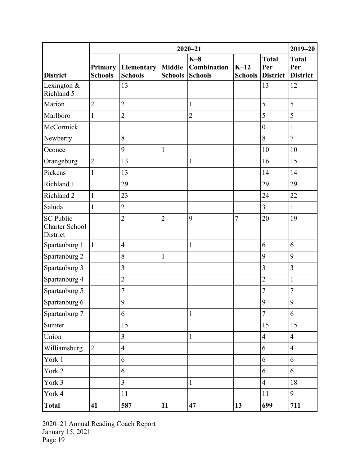|                                                       | $2020 - 21$               |                              |                                 |                                        | $2019 - 20$              |                                        |                                        |
|-------------------------------------------------------|---------------------------|------------------------------|---------------------------------|----------------------------------------|--------------------------|----------------------------------------|----------------------------------------|
| <b>District</b>                                       | Primary<br><b>Schools</b> | Elementary<br><b>Schools</b> | <b>Middle</b><br><b>Schools</b> | $K-8$<br>Combination<br><b>Schools</b> | $K-12$<br><b>Schools</b> | <b>Total</b><br>Per<br><b>District</b> | <b>Total</b><br>Per<br><b>District</b> |
| Lexington &<br>Richland 5                             |                           | 13                           |                                 |                                        |                          | 13                                     | 12                                     |
| Marion                                                | $\overline{2}$            | $\overline{2}$               |                                 | $\mathbf{1}$                           |                          | 5                                      | 5                                      |
| Marlboro                                              | $\mathbf{1}$              | $\overline{2}$               |                                 | $\overline{2}$                         |                          | 5                                      | 5                                      |
| McCormick                                             |                           |                              |                                 |                                        |                          | $\boldsymbol{0}$                       | $\mathbf{1}$                           |
| Newberry                                              |                           | 8                            |                                 |                                        |                          | 8                                      | $\overline{7}$                         |
| Oconee                                                |                           | 9                            | $\mathbf{1}$                    |                                        |                          | 10                                     | 10                                     |
| Orangeburg                                            | $\overline{2}$            | 13                           |                                 | $\mathbf{1}$                           |                          | 16                                     | 15                                     |
| Pickens                                               | $\mathbf{1}$              | 13                           |                                 |                                        |                          | 14                                     | 14                                     |
| Richland 1                                            |                           | 29                           |                                 |                                        |                          | 29                                     | 29                                     |
| Richland 2                                            | $\mathbf{1}$              | 23                           |                                 |                                        |                          | 24                                     | 22                                     |
| Saluda                                                | $\mathbf{1}$              | $\overline{2}$               |                                 |                                        |                          | $\overline{3}$                         | $\mathbf{1}$                           |
| <b>SC Public</b><br><b>Charter School</b><br>District |                           | $\overline{2}$               | $\overline{2}$                  | 9                                      | $\overline{7}$           | 20                                     | 19                                     |
| Spartanburg 1                                         | $\mathbf{1}$              | $\overline{4}$               |                                 | $\mathbf{1}$                           |                          | 6                                      | 6                                      |
| Spartanburg 2                                         |                           | 8                            | $\mathbf{1}$                    |                                        |                          | 9                                      | 9                                      |
| Spartanburg 3                                         |                           | $\overline{3}$               |                                 |                                        |                          | $\overline{3}$                         | $\overline{3}$                         |
| Spartanburg 4                                         |                           | $\overline{2}$               |                                 |                                        |                          | $\overline{2}$                         | $\mathbf{1}$                           |
| Spartanburg 5                                         |                           | 7                            |                                 |                                        |                          | $\overline{7}$                         | $\overline{7}$                         |
| Spartanburg 6                                         |                           | 9                            |                                 |                                        |                          | 9                                      | 9                                      |
| Spartanburg 7                                         |                           | 6                            |                                 | $\mathbf 1$                            |                          | $\overline{7}$                         | 6                                      |
| Sumter                                                |                           | 15                           |                                 |                                        |                          | 15                                     | 15                                     |
| Union                                                 |                           | $\overline{3}$               |                                 | $\mathbf{1}$                           |                          | $\overline{4}$                         | $\overline{4}$                         |
| Williamsburg                                          | $\overline{2}$            | $\overline{4}$               |                                 |                                        |                          | 6                                      | $\overline{4}$                         |
| York 1                                                |                           | 6                            |                                 |                                        |                          | 6                                      | 6                                      |
| York 2                                                |                           | 6                            |                                 |                                        |                          | 6                                      | 6                                      |
| York 3                                                |                           | $\overline{3}$               |                                 | $\mathbf{1}$                           |                          | $\overline{4}$                         | $18\,$                                 |
| York 4                                                |                           | $11\,$                       |                                 |                                        |                          | 11                                     | 9                                      |
| <b>Total</b>                                          | 41                        | 587                          | 11                              | 47                                     | 13                       | 699                                    | 711                                    |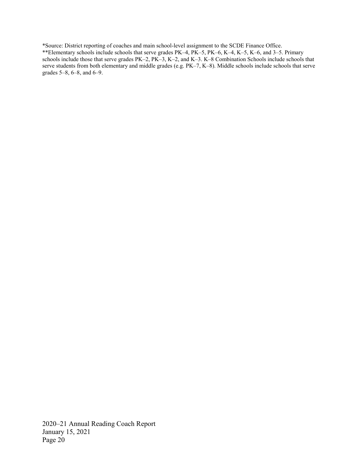\*Source: District reporting of coaches and main school-level assignment to the SCDE Finance Office.

\*\*Elementary schools include schools that serve grades PK–4, PK–5, PK–6, K–4, K–5, K–6, and 3–5. Primary schools include those that serve grades PK–2, PK–3, K–2, and K–3. K–8 Combination Schools include schools that serve students from both elementary and middle grades (e.g. PK–7, K–8). Middle schools include schools that serve grades 5–8, 6–8, and 6–9.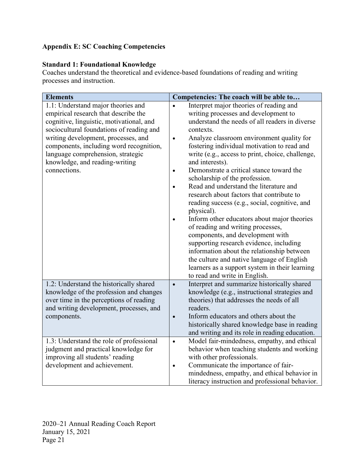# <span id="page-22-0"></span>**Appendix E: SC Coaching Competencies**

# **Standard 1: Foundational Knowledge**

Coaches understand the theoretical and evidence-based foundations of reading and writing processes and instruction.

| <b>Elements</b>                                                                                                                                                                                                                                                                                                                             | Competencies: The coach will be able to                                                                                                                                                                                                                                                                                                                                                                                                                                                                                                                                                                                                                                                                                                                                                                                                                                                                                                        |
|---------------------------------------------------------------------------------------------------------------------------------------------------------------------------------------------------------------------------------------------------------------------------------------------------------------------------------------------|------------------------------------------------------------------------------------------------------------------------------------------------------------------------------------------------------------------------------------------------------------------------------------------------------------------------------------------------------------------------------------------------------------------------------------------------------------------------------------------------------------------------------------------------------------------------------------------------------------------------------------------------------------------------------------------------------------------------------------------------------------------------------------------------------------------------------------------------------------------------------------------------------------------------------------------------|
| 1.1: Understand major theories and<br>empirical research that describe the<br>cognitive, linguistic, motivational, and<br>sociocultural foundations of reading and<br>writing development, processes, and<br>components, including word recognition,<br>language comprehension, strategic<br>knowledge, and reading-writing<br>connections. | Interpret major theories of reading and<br>$\bullet$<br>writing processes and development to<br>understand the needs of all readers in diverse<br>contexts.<br>Analyze classroom environment quality for<br>$\bullet$<br>fostering individual motivation to read and<br>write (e.g., access to print, choice, challenge,<br>and interests).<br>Demonstrate a critical stance toward the<br>$\bullet$<br>scholarship of the profession.<br>Read and understand the literature and<br>research about factors that contribute to<br>reading success (e.g., social, cognitive, and<br>physical).<br>Inform other educators about major theories<br>of reading and writing processes,<br>components, and development with<br>supporting research evidence, including<br>information about the relationship between<br>the culture and native language of English<br>learners as a support system in their learning<br>to read and write in English. |
| 1.2: Understand the historically shared<br>knowledge of the profession and changes<br>over time in the perceptions of reading<br>and writing development, processes, and<br>components.                                                                                                                                                     | Interpret and summarize historically shared<br>$\bullet$<br>knowledge (e.g., instructional strategies and<br>theories) that addresses the needs of all<br>readers.<br>Inform educators and others about the<br>$\bullet$<br>historically shared knowledge base in reading<br>and writing and its role in reading education.                                                                                                                                                                                                                                                                                                                                                                                                                                                                                                                                                                                                                    |
| 1.3: Understand the role of professional<br>judgment and practical knowledge for<br>improving all students' reading<br>development and achievement.                                                                                                                                                                                         | Model fair-mindedness, empathy, and ethical<br>$\bullet$<br>behavior when teaching students and working<br>with other professionals.<br>Communicate the importance of fair-<br>$\bullet$<br>mindedness, empathy, and ethical behavior in<br>literacy instruction and professional behavior.                                                                                                                                                                                                                                                                                                                                                                                                                                                                                                                                                                                                                                                    |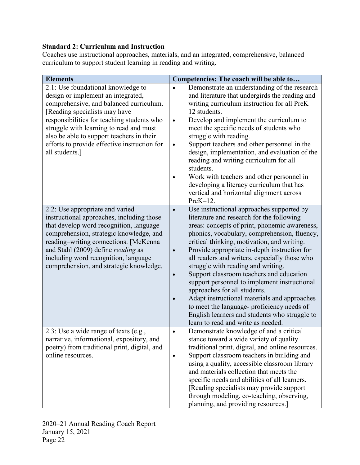# **Standard 2: Curriculum and Instruction**

Coaches use instructional approaches, materials, and an integrated, comprehensive, balanced curriculum to support student learning in reading and writing.

| <b>Elements</b>                                                                                                                                                                                                                                                                                                                                              | Competencies: The coach will be able to                                                                                                                                                                                                                                                                                                                                                                                                                                                                                                                                                                                                                                                                     |
|--------------------------------------------------------------------------------------------------------------------------------------------------------------------------------------------------------------------------------------------------------------------------------------------------------------------------------------------------------------|-------------------------------------------------------------------------------------------------------------------------------------------------------------------------------------------------------------------------------------------------------------------------------------------------------------------------------------------------------------------------------------------------------------------------------------------------------------------------------------------------------------------------------------------------------------------------------------------------------------------------------------------------------------------------------------------------------------|
| 2.1: Use foundational knowledge to<br>design or implement an integrated,<br>comprehensive, and balanced curriculum.<br>[Reading specialists may have<br>responsibilities for teaching students who<br>struggle with learning to read and must<br>also be able to support teachers in their<br>efforts to provide effective instruction for<br>all students.] | Demonstrate an understanding of the research<br>and literature that undergirds the reading and<br>writing curriculum instruction for all PreK-<br>12 students.<br>Develop and implement the curriculum to<br>$\bullet$<br>meet the specific needs of students who<br>struggle with reading.<br>Support teachers and other personnel in the<br>design, implementation, and evaluation of the<br>reading and writing curriculum for all<br>students.<br>Work with teachers and other personnel in<br>developing a literacy curriculum that has<br>vertical and horizontal alignment across<br>$PreK-12.$                                                                                                      |
| 2.2: Use appropriate and varied<br>instructional approaches, including those<br>that develop word recognition, language<br>comprehension, strategic knowledge, and<br>reading-writing connections. [McKenna<br>and Stahl (2009) define <i>reading</i> as<br>including word recognition, language<br>comprehension, and strategic knowledge.                  | Use instructional approaches supported by<br>$\bullet$<br>literature and research for the following<br>areas: concepts of print, phonemic awareness,<br>phonics, vocabulary, comprehension, fluency,<br>critical thinking, motivation, and writing.<br>Provide appropriate in-depth instruction for<br>all readers and writers, especially those who<br>struggle with reading and writing.<br>Support classroom teachers and education<br>support personnel to implement instructional<br>approaches for all students.<br>Adapt instructional materials and approaches<br>to meet the language- proficiency needs of<br>English learners and students who struggle to<br>learn to read and write as needed. |
| 2.3: Use a wide range of texts (e.g.,<br>narrative, informational, expository, and<br>poetry) from traditional print, digital, and<br>online resources.                                                                                                                                                                                                      | Demonstrate knowledge of and a critical<br>$\bullet$<br>stance toward a wide variety of quality<br>traditional print, digital, and online resources.<br>Support classroom teachers in building and<br>using a quality, accessible classroom library<br>and materials collection that meets the<br>specific needs and abilities of all learners.<br>[Reading specialists may provide support]<br>through modeling, co-teaching, observing,<br>planning, and providing resources.]                                                                                                                                                                                                                            |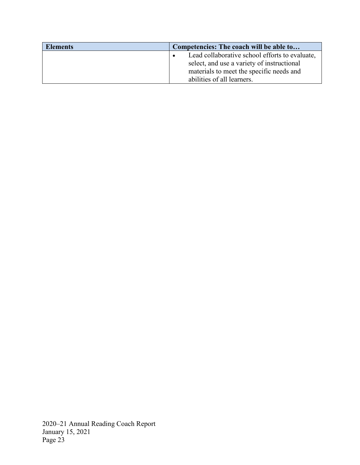| <b>Elements</b> | Competencies: The coach will be able to        |
|-----------------|------------------------------------------------|
|                 | Lead collaborative school efforts to evaluate, |
|                 | select, and use a variety of instructional     |
|                 | materials to meet the specific needs and       |
|                 | abilities of all learners.                     |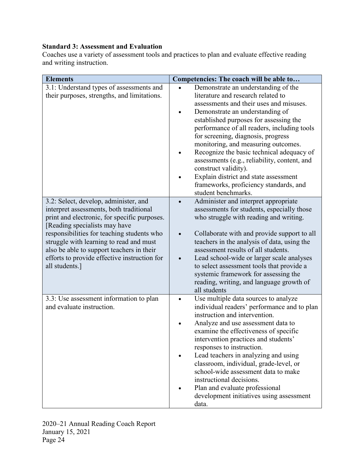# **Standard 3: Assessment and Evaluation**

Coaches use a variety of assessment tools and practices to plan and evaluate effective reading and writing instruction.

| <b>Elements</b>                                                                                                                                                                                                                                                                                                                                                           | Competencies: The coach will be able to                                                                                                                                                                                                                                                                                                                                                                                                                                                                                                                      |
|---------------------------------------------------------------------------------------------------------------------------------------------------------------------------------------------------------------------------------------------------------------------------------------------------------------------------------------------------------------------------|--------------------------------------------------------------------------------------------------------------------------------------------------------------------------------------------------------------------------------------------------------------------------------------------------------------------------------------------------------------------------------------------------------------------------------------------------------------------------------------------------------------------------------------------------------------|
| 3.1: Understand types of assessments and<br>their purposes, strengths, and limitations.                                                                                                                                                                                                                                                                                   | Demonstrate an understanding of the<br>literature and research related to<br>assessments and their uses and misuses.<br>Demonstrate an understanding of<br>established purposes for assessing the<br>performance of all readers, including tools<br>for screening, diagnosis, progress<br>monitoring, and measuring outcomes.<br>Recognize the basic technical adequacy of<br>assessments (e.g., reliability, content, and<br>construct validity).<br>Explain district and state assessment<br>frameworks, proficiency standards, and<br>student benchmarks. |
| 3.2: Select, develop, administer, and<br>interpret assessments, both traditional<br>print and electronic, for specific purposes.<br>[Reading specialists may have<br>responsibilities for teaching students who<br>struggle with learning to read and must<br>also be able to support teachers in their<br>efforts to provide effective instruction for<br>all students.] | Administer and interpret appropriate<br>assessments for students, especially those<br>who struggle with reading and writing.<br>Collaborate with and provide support to all<br>teachers in the analysis of data, using the<br>assessment results of all students.<br>Lead school-wide or larger scale analyses<br>to select assessment tools that provide a<br>systemic framework for assessing the<br>reading, writing, and language growth of<br>all students                                                                                              |
| 3.3: Use assessment information to plan<br>and evaluate instruction.                                                                                                                                                                                                                                                                                                      | Use multiple data sources to analyze<br>individual readers' performance and to plan<br>instruction and intervention.<br>Analyze and use assessment data to<br>examine the effectiveness of specific<br>intervention practices and students'<br>responses to instruction.<br>Lead teachers in analyzing and using<br>classroom, individual, grade-level, or<br>school-wide assessment data to make<br>instructional decisions.<br>Plan and evaluate professional<br>development initiatives using assessment<br>data.                                         |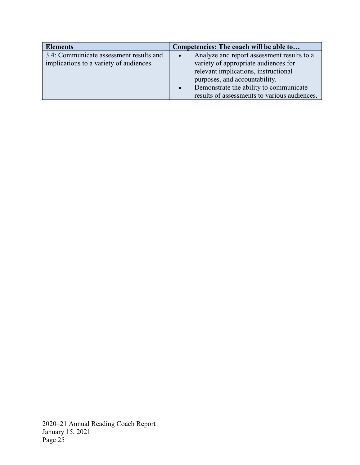| <b>Elements</b>                         | Competencies: The coach will be able to             |  |
|-----------------------------------------|-----------------------------------------------------|--|
| 3.4: Communicate assessment results and | Analyze and report assessment results to a          |  |
| implications to a variety of audiences. | variety of appropriate audiences for                |  |
|                                         | relevant implications, instructional                |  |
|                                         | purposes, and accountability.                       |  |
|                                         | Demonstrate the ability to communicate<br>$\bullet$ |  |
|                                         | results of assessments to various audiences.        |  |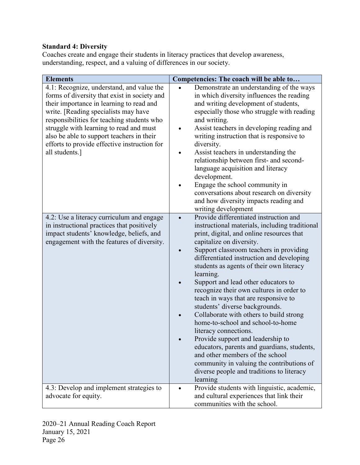# **Standard 4: Diversity**

Coaches create and engage their students in literacy practices that develop awareness, understanding, respect, and a valuing of differences in our society.

| <b>Elements</b>                                                                                                                                                                                                                                                                                                                                                                       | Competencies: The coach will be able to                                                                                                                                                                                                                                                                                                                                                                                                                                                                                                                                                                                                                                                                                                                                                                                            |
|---------------------------------------------------------------------------------------------------------------------------------------------------------------------------------------------------------------------------------------------------------------------------------------------------------------------------------------------------------------------------------------|------------------------------------------------------------------------------------------------------------------------------------------------------------------------------------------------------------------------------------------------------------------------------------------------------------------------------------------------------------------------------------------------------------------------------------------------------------------------------------------------------------------------------------------------------------------------------------------------------------------------------------------------------------------------------------------------------------------------------------------------------------------------------------------------------------------------------------|
| 4.1: Recognize, understand, and value the<br>forms of diversity that exist in society and<br>their importance in learning to read and<br>write. [Reading specialists may have<br>responsibilities for teaching students who<br>struggle with learning to read and must<br>also be able to support teachers in their<br>efforts to provide effective instruction for<br>all students.] | Demonstrate an understanding of the ways<br>in which diversity influences the reading<br>and writing development of students,<br>especially those who struggle with reading<br>and writing.<br>Assist teachers in developing reading and<br>writing instruction that is responsive to<br>diversity.<br>Assist teachers in understanding the<br>relationship between first- and second-<br>language acquisition and literacy<br>development.<br>Engage the school community in<br>conversations about research on diversity<br>and how diversity impacts reading and<br>writing development                                                                                                                                                                                                                                         |
| 4.2: Use a literacy curriculum and engage<br>in instructional practices that positively<br>impact students' knowledge, beliefs, and<br>engagement with the features of diversity.                                                                                                                                                                                                     | Provide differentiated instruction and<br>$\bullet$<br>instructional materials, including traditional<br>print, digital, and online resources that<br>capitalize on diversity.<br>Support classroom teachers in providing<br>differentiated instruction and developing<br>students as agents of their own literacy<br>learning.<br>Support and lead other educators to<br>recognize their own cultures in order to<br>teach in ways that are responsive to<br>students' diverse backgrounds.<br>Collaborate with others to build strong<br>home-to-school and school-to-home<br>literacy connections.<br>Provide support and leadership to<br>educators, parents and guardians, students,<br>and other members of the school<br>community in valuing the contributions of<br>diverse people and traditions to literacy<br>learning |
| 4.3: Develop and implement strategies to<br>advocate for equity.                                                                                                                                                                                                                                                                                                                      | Provide students with linguistic, academic,<br>and cultural experiences that link their<br>communities with the school.                                                                                                                                                                                                                                                                                                                                                                                                                                                                                                                                                                                                                                                                                                            |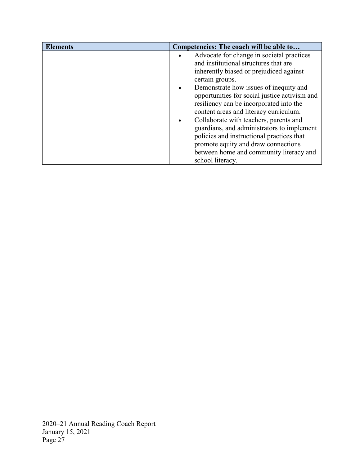| <b>Elements</b> | Competencies: The coach will be able to       |  |  |  |
|-----------------|-----------------------------------------------|--|--|--|
|                 | Advocate for change in societal practices     |  |  |  |
|                 | and institutional structures that are         |  |  |  |
|                 | inherently biased or prejudiced against       |  |  |  |
|                 | certain groups.                               |  |  |  |
|                 | Demonstrate how issues of inequity and        |  |  |  |
|                 | opportunities for social justice activism and |  |  |  |
|                 | resiliency can be incorporated into the       |  |  |  |
|                 | content areas and literacy curriculum.        |  |  |  |
|                 | Collaborate with teachers, parents and        |  |  |  |
|                 | guardians, and administrators to implement    |  |  |  |
|                 | policies and instructional practices that     |  |  |  |
|                 | promote equity and draw connections           |  |  |  |
|                 | between home and community literacy and       |  |  |  |
|                 | school literacy.                              |  |  |  |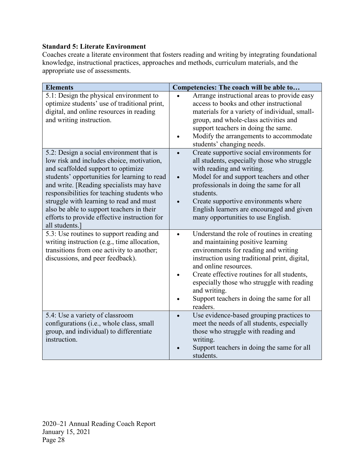# **Standard 5: Literate Environment**

Coaches create a literate environment that fosters reading and writing by integrating foundational knowledge, instructional practices, approaches and methods, curriculum materials, and the appropriate use of assessments.

| <b>Elements</b>                                                                                                                                                                                                                                                                                                                                                                                                                | Competencies: The coach will be able to                                                                                                                                                                                                                                                                                                                                                |  |  |
|--------------------------------------------------------------------------------------------------------------------------------------------------------------------------------------------------------------------------------------------------------------------------------------------------------------------------------------------------------------------------------------------------------------------------------|----------------------------------------------------------------------------------------------------------------------------------------------------------------------------------------------------------------------------------------------------------------------------------------------------------------------------------------------------------------------------------------|--|--|
| 5.1: Design the physical environment to<br>optimize students' use of traditional print,<br>digital, and online resources in reading<br>and writing instruction.                                                                                                                                                                                                                                                                | Arrange instructional areas to provide easy<br>access to books and other instructional<br>materials for a variety of individual, small-<br>group, and whole-class activities and<br>support teachers in doing the same.<br>Modify the arrangements to accommodate<br>students' changing needs.                                                                                         |  |  |
| 5.2: Design a social environment that is<br>low risk and includes choice, motivation,<br>and scaffolded support to optimize<br>students' opportunities for learning to read<br>and write. [Reading specialists may have<br>responsibilities for teaching students who<br>struggle with learning to read and must<br>also be able to support teachers in their<br>efforts to provide effective instruction for<br>all students. | Create supportive social environments for<br>all students, especially those who struggle<br>with reading and writing.<br>Model for and support teachers and other<br>$\bullet$<br>professionals in doing the same for all<br>students.<br>Create supportive environments where<br>English learners are encouraged and given<br>many opportunities to use English.                      |  |  |
| 5.3: Use routines to support reading and<br>writing instruction (e.g., time allocation,<br>transitions from one activity to another;<br>discussions, and peer feedback).                                                                                                                                                                                                                                                       | Understand the role of routines in creating<br>$\bullet$<br>and maintaining positive learning<br>environments for reading and writing<br>instruction using traditional print, digital,<br>and online resources.<br>Create effective routines for all students,<br>especially those who struggle with reading<br>and writing.<br>Support teachers in doing the same for all<br>readers. |  |  |
| 5.4: Use a variety of classroom<br>configurations (i.e., whole class, small<br>group, and individual) to differentiate<br>instruction.                                                                                                                                                                                                                                                                                         | Use evidence-based grouping practices to<br>$\bullet$<br>meet the needs of all students, especially<br>those who struggle with reading and<br>writing.<br>Support teachers in doing the same for all<br>students.                                                                                                                                                                      |  |  |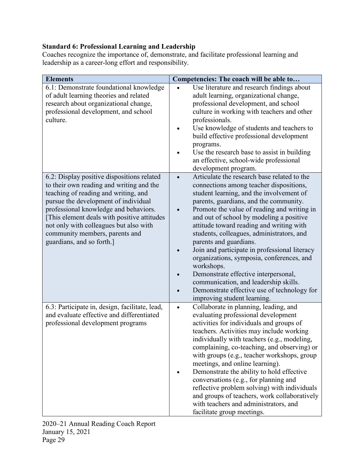# **Standard 6: Professional Learning and Leadership**

Coaches recognize the importance of, demonstrate, and facilitate professional learning and leadership as a career-long effort and responsibility.

| <b>Elements</b>                                                                                                                                                                                                                                                                                                                                                          | Competencies: The coach will be able to                                                                                                                                                                                                                                                                                                                                                                                                                                                                                                                                                                                                                                            |
|--------------------------------------------------------------------------------------------------------------------------------------------------------------------------------------------------------------------------------------------------------------------------------------------------------------------------------------------------------------------------|------------------------------------------------------------------------------------------------------------------------------------------------------------------------------------------------------------------------------------------------------------------------------------------------------------------------------------------------------------------------------------------------------------------------------------------------------------------------------------------------------------------------------------------------------------------------------------------------------------------------------------------------------------------------------------|
| 6.1: Demonstrate foundational knowledge<br>of adult learning theories and related<br>research about organizational change,<br>professional development, and school<br>culture.                                                                                                                                                                                           | Use literature and research findings about<br>adult learning, organizational change,<br>professional development, and school<br>culture in working with teachers and other<br>professionals.<br>Use knowledge of students and teachers to<br>build effective professional development<br>programs.<br>Use the research base to assist in building<br>an effective, school-wide professional<br>development program.                                                                                                                                                                                                                                                                |
| 6.2: Display positive dispositions related<br>to their own reading and writing and the<br>teaching of reading and writing, and<br>pursue the development of individual<br>professional knowledge and behaviors.<br>[This element deals with positive attitudes]<br>not only with colleagues but also with<br>community members, parents and<br>guardians, and so forth.] | Articulate the research base related to the<br>$\bullet$<br>connections among teacher dispositions,<br>student learning, and the involvement of<br>parents, guardians, and the community.<br>Promote the value of reading and writing in<br>and out of school by modeling a positive<br>attitude toward reading and writing with<br>students, colleagues, administrators, and<br>parents and guardians.<br>Join and participate in professional literacy<br>organizations, symposia, conferences, and<br>workshops.<br>Demonstrate effective interpersonal,<br>communication, and leadership skills.<br>Demonstrate effective use of technology for<br>improving student learning. |
| 6.3: Participate in, design, facilitate, lead,<br>and evaluate effective and differentiated<br>professional development programs                                                                                                                                                                                                                                         | Collaborate in planning, leading, and<br>$\bullet$<br>evaluating professional development<br>activities for individuals and groups of<br>teachers. Activities may include working<br>individually with teachers (e.g., modeling,<br>complaining, co-teaching, and observing) or<br>with groups (e.g., teacher workshops, group<br>meetings, and online learning).<br>Demonstrate the ability to hold effective<br>conversations (e.g., for planning and<br>reflective problem solving) with individuals<br>and groups of teachers, work collaboratively<br>with teachers and administrators, and<br>facilitate group meetings.                                                     |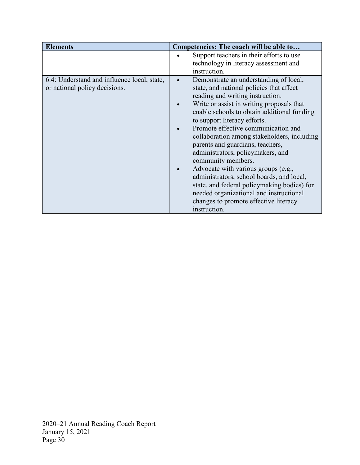| <b>Elements</b>                                                              | Competencies: The coach will be able to                                                                                                                                                                                                                                                                                                                                                                                                                                                                                                                                                                                                                                         |  |  |
|------------------------------------------------------------------------------|---------------------------------------------------------------------------------------------------------------------------------------------------------------------------------------------------------------------------------------------------------------------------------------------------------------------------------------------------------------------------------------------------------------------------------------------------------------------------------------------------------------------------------------------------------------------------------------------------------------------------------------------------------------------------------|--|--|
|                                                                              | Support teachers in their efforts to use<br>technology in literacy assessment and<br>instruction.                                                                                                                                                                                                                                                                                                                                                                                                                                                                                                                                                                               |  |  |
| 6.4: Understand and influence local, state,<br>or national policy decisions. | Demonstrate an understanding of local,<br>state, and national policies that affect<br>reading and writing instruction.<br>Write or assist in writing proposals that<br>enable schools to obtain additional funding<br>to support literacy efforts.<br>Promote effective communication and<br>collaboration among stakeholders, including<br>parents and guardians, teachers,<br>administrators, policymakers, and<br>community members.<br>Advocate with various groups (e.g.,<br>administrators, school boards, and local,<br>state, and federal policy making bodies) for<br>needed organizational and instructional<br>changes to promote effective literacy<br>instruction. |  |  |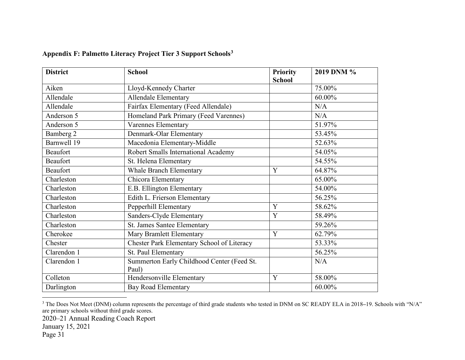<span id="page-32-0"></span>

| <b>District</b> | <b>School</b>                              | <b>Priority</b> | 2019 DNM % |
|-----------------|--------------------------------------------|-----------------|------------|
|                 |                                            | <b>School</b>   |            |
| Aiken           | Lloyd-Kennedy Charter                      |                 | 75.00%     |
| Allendale       | Allendale Elementary                       |                 | 60.00%     |
| Allendale       | Fairfax Elementary (Feed Allendale)        |                 | N/A        |
| Anderson 5      | Homeland Park Primary (Feed Varennes)      |                 | N/A        |
| Anderson 5      | <b>Varennes Elementary</b>                 |                 | 51.97%     |
| Bamberg 2       | Denmark-Olar Elementary                    |                 | 53.45%     |
| Barnwell 19     | Macedonia Elementary-Middle                |                 | 52.63%     |
| Beaufort        | Robert Smalls International Academy        |                 | 54.05%     |
| <b>Beaufort</b> | St. Helena Elementary                      |                 | 54.55%     |
| Beaufort        | <b>Whale Branch Elementary</b>             | Y               | 64.87%     |
| Charleston      | Chicora Elementary                         |                 | 65.00%     |
| Charleston      | E.B. Ellington Elementary                  |                 | 54.00%     |
| Charleston      | Edith L. Frierson Elementary               |                 | 56.25%     |
| Charleston      | Pepperhill Elementary                      | Y               | 58.62%     |
| Charleston      | Sanders-Clyde Elementary                   | Y               | 58.49%     |
| Charleston      | St. James Santee Elementary                |                 | 59.26%     |
| Cherokee        | Mary Bramlett Elementary                   | Y               | 62.79%     |
| Chester         | Chester Park Elementary School of Literacy |                 | 53.33%     |
| Clarendon 1     | St. Paul Elementary                        |                 | 56.25%     |
| Clarendon 1     | Summerton Early Childhood Center (Feed St. |                 | N/A        |
|                 | Paul)                                      |                 |            |
| Colleton        | Hendersonville Elementary                  | Y               | 58.00%     |
| Darlington      | <b>Bay Road Elementary</b>                 |                 | 60.00%     |

# <span id="page-32-1"></span>**Appendix F: Palmetto Literacy Project Tier 3 Support Schools[3](#page-32-1)**

2020–21 Annual Reading Coach Report

 <sup>3</sup> The Does Not Meet (DNM) column represents the percentage of third grade students who tested in DNM on SC READY ELA in 2018**–**19. Schools with "N/A" are primary schools without third grade scores.

January 15, 2021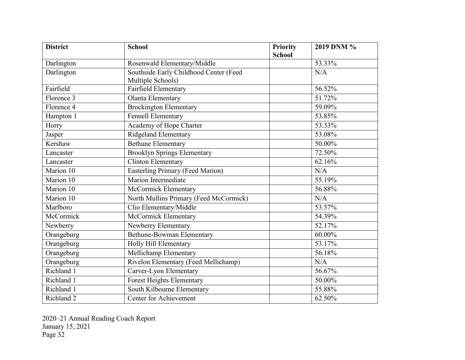| <b>District</b> | <b>School</b>                           | Priority      | 2019 DNM % |
|-----------------|-----------------------------------------|---------------|------------|
|                 |                                         | <b>School</b> |            |
| Darlington      | Rosenwald Elementary/Middle             |               | 53.33%     |
| Darlington      | Southside Early Childhood Center (Feed  |               | N/A        |
|                 | Multiple Schools)                       |               |            |
| Fairfield       | Fairfield Elementary                    |               | 56.52%     |
| Florence 3      | Olanta Elementary                       |               | 51.72%     |
| Florence 4      | <b>Brockington Elementary</b>           |               | 59.09%     |
| Hampton 1       | <b>Fennell Elementary</b>               |               | 53.85%     |
| Horry           | Academy of Hope Charter                 |               | 53.33%     |
| Jasper          | Ridgeland Elementary                    |               | 53.08%     |
| Kershaw         | <b>Bethune Elementary</b>               |               | 50.00%     |
| Lancaster       | <b>Brooklyn Springs Elementary</b>      |               | 72.50%     |
| Lancaster       | Clinton Elementary                      |               | 62.16%     |
| Marion 10       | <b>Easterling Primary (Feed Marion)</b> |               | N/A        |
| Marion 10       | <b>Marion Intermediate</b>              |               | 55.19%     |
| Marion 10       | McCormick Elementary                    |               | 56.88%     |
| Marion 10       | North Mullins Primary (Feed McCormick)  |               | N/A        |
| Marlboro        | Clio Elementary/Middle                  |               | 53.57%     |
| McCormick       | <b>McCormick Elementary</b>             |               | 54.39%     |
| Newberry        | Newberry Elementary                     |               | 52.17%     |
| Orangeburg      | <b>Bethune-Bowman Elementary</b>        |               | 60.00%     |
| Orangeburg      | Holly Hill Elementary                   |               | 53.17%     |
| Orangeburg      | Mellichamp Elementary                   |               | 56.18%     |
| Orangeburg      | Rivelon Elementary (Feed Mellichamp)    |               | N/A        |
| Richland 1      | Carver-Lyon Elementary                  |               | 56.67%     |
| Richland 1      | Forest Heights Elementary               |               | 50.00%     |
| Richland 1      | South Kilbourne Elementary              |               | 55.88%     |
| Richland 2      | <b>Center for Achievement</b>           |               | 62.50%     |